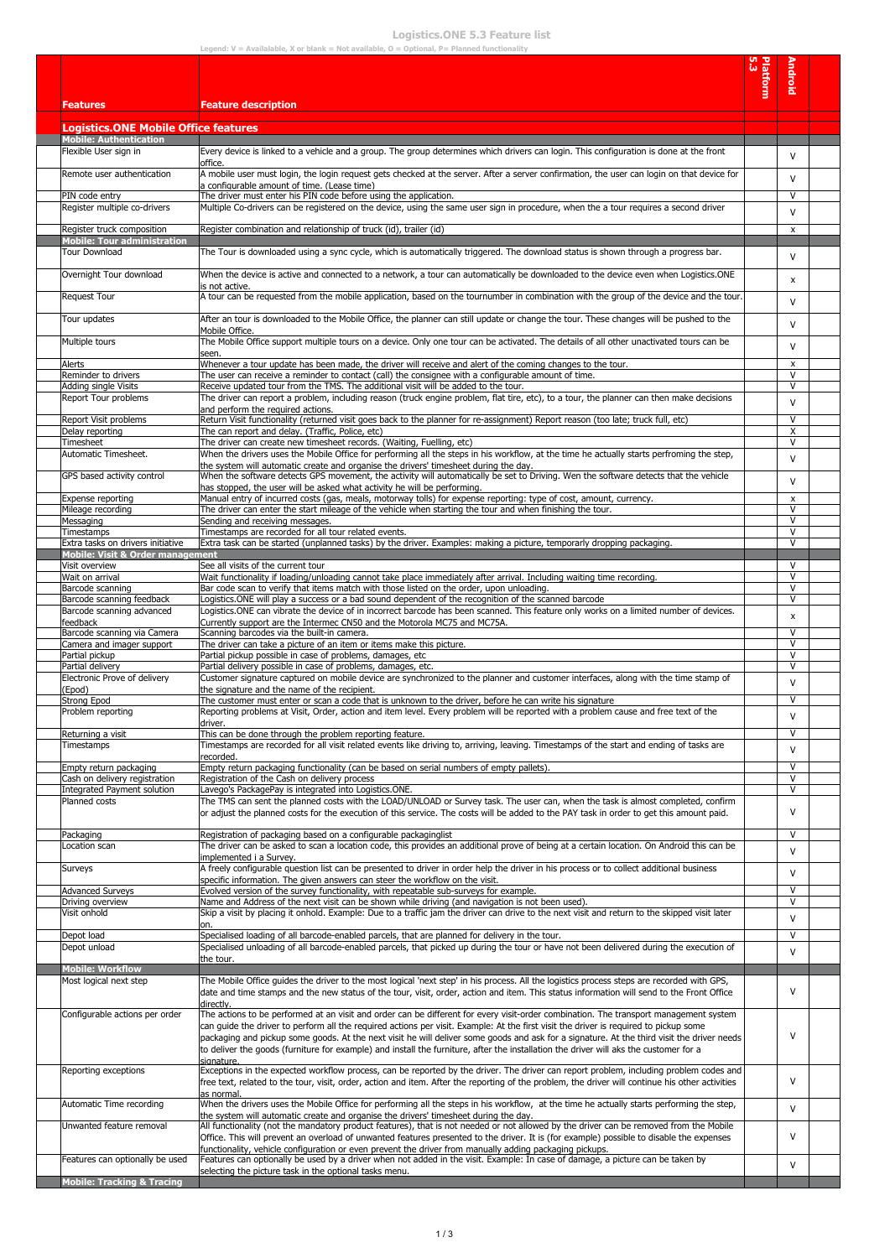## **Logistics.ONE 5.3 Feature list**

|                                                                  | Legend: $V =$ Availalable, X or blank = Not available, $O =$ Optional, P= Planned functionality                                                                                                                                                     |          |              |  |
|------------------------------------------------------------------|-----------------------------------------------------------------------------------------------------------------------------------------------------------------------------------------------------------------------------------------------------|----------|--------------|--|
|                                                                  |                                                                                                                                                                                                                                                     |          |              |  |
|                                                                  |                                                                                                                                                                                                                                                     | Platform | Android      |  |
| <b>Features</b>                                                  | <b>Feature description</b>                                                                                                                                                                                                                          |          |              |  |
|                                                                  |                                                                                                                                                                                                                                                     |          |              |  |
| <b>Logistics.ONE Mobile Office features</b>                      |                                                                                                                                                                                                                                                     |          |              |  |
| <b>Mobile: Authentication</b><br>Flexible User sign in           | Every device is linked to a vehicle and a group. The group determines which drivers can login. This configuration is done at the front                                                                                                              |          |              |  |
|                                                                  | office.                                                                                                                                                                                                                                             |          | V            |  |
| Remote user authentication                                       | A mobile user must login, the login request gets checked at the server. After a server confirmation, the user can login on that device for                                                                                                          |          | V            |  |
| PIN code entry                                                   | a configurable amount of time. (Lease time)<br>The driver must enter his PIN code before using the application.                                                                                                                                     |          | V            |  |
| Register multiple co-drivers                                     | Multiple Co-drivers can be registered on the device, using the same user sign in procedure, when the a tour requires a second driver                                                                                                                |          | V            |  |
|                                                                  |                                                                                                                                                                                                                                                     |          |              |  |
| Register truck composition<br><b>Mobile: Tour administration</b> | Register combination and relationship of truck (id), trailer (id)                                                                                                                                                                                   |          | X            |  |
| <b>Tour Download</b>                                             | The Tour is downloaded using a sync cycle, which is automatically triggered. The download status is shown through a progress bar.                                                                                                                   |          | V            |  |
| Overnight Tour download                                          | When the device is active and connected to a network, a tour can automatically be downloaded to the device even when Logistics.ONE                                                                                                                  |          |              |  |
|                                                                  | is not active.                                                                                                                                                                                                                                      |          | x            |  |
| <b>Request Tour</b>                                              | A tour can be requested from the mobile application, based on the tournumber in combination with the group of the device and the tour.                                                                                                              |          | V            |  |
| Tour updates                                                     | After an tour is downloaded to the Mobile Office, the planner can still update or change the tour. These changes will be pushed to the                                                                                                              |          |              |  |
|                                                                  | Mobile Office.                                                                                                                                                                                                                                      |          | V            |  |
| Multiple tours                                                   | The Mobile Office support multiple tours on a device. Only one tour can be activated. The details of all other unactivated tours can be                                                                                                             |          | V            |  |
| Alerts                                                           | seen.<br>Whenever a tour update has been made, the driver will receive and alert of the coming changes to the tour.                                                                                                                                 |          | x            |  |
| Reminder to drivers                                              | The user can receive a reminder to contact (call) the consignee with a configurable amount of time.                                                                                                                                                 |          | V            |  |
| Adding single Visits                                             | Receive updated tour from the TMS. The additional visit will be added to the tour.                                                                                                                                                                  |          | V            |  |
| Report Tour problems                                             | The driver can report a problem, including reason (truck engine problem, flat tire, etc), to a tour, the planner can then make decisions<br>and perform the required actions.                                                                       |          | $\mathsf{V}$ |  |
| Report Visit problems                                            | Return Visit functionality (returned visit goes back to the planner for re-assignment) Report reason (too late; truck full, etc)                                                                                                                    |          | V            |  |
| Delay reporting                                                  | The can report and delay. (Traffic, Police, etc)<br>The driver can create new timesheet records. (Waiting, Fuelling, etc)                                                                                                                           |          | X            |  |
| Timesheet<br>Automatic Timesheet.                                | When the drivers uses the Mobile Office for performing all the steps in his workflow, at the time he actually starts perfroming the step,                                                                                                           |          | V            |  |
|                                                                  | the system will automatic create and organise the drivers' timesheet during the day.                                                                                                                                                                |          | v            |  |
| GPS based activity control                                       | When the software detects GPS movement, the activity will automatically be set to Driving. Wen the software detects that the vehicle                                                                                                                |          | V            |  |
| Expense reporting                                                | has stopped, the user will be asked what activity he will be performing.<br>Manual entry of incurred costs (gas, meals, motorway tolls) for expense reporting: type of cost, amount, currency.                                                      |          | x            |  |
| Mileage recording                                                | The driver can enter the start mileage of the vehicle when starting the tour and when finishing the tour.                                                                                                                                           |          | V            |  |
| Messaging                                                        | Sending and receiving messages.                                                                                                                                                                                                                     |          | V<br>V       |  |
| Timestamps<br>Extra tasks on drivers initiative                  | Timestamps are recorded for all tour related events.<br>Extra task can be started (unplanned tasks) by the driver. Examples: making a picture, temporarly dropping packaging.                                                                       |          | V            |  |
| <b>Mobile: Visit &amp; Order management</b>                      |                                                                                                                                                                                                                                                     |          |              |  |
| Visit overview<br>Wait on arrival                                | See all visits of the current tour<br>Wait functionality if loading/unloading cannot take place immediately after arrival. Including waiting time recording.                                                                                        |          | V<br>V       |  |
| Barcode scanning                                                 | Bar code scan to verify that items match with those listed on the order, upon unloading.                                                                                                                                                            |          | $\mathsf{V}$ |  |
| Barcode scanning feedback                                        | Logistics.ONE will play a success or a bad sound dependent of the recognition of the scanned barcode                                                                                                                                                |          | V            |  |
| Barcode scanning advanced<br>feedback                            | Logistics.ONE can vibrate the device of in incorrect barcode has been scanned. This feature only works on a limited number of devices.<br>Currently support are the Intermec CN50 and the Motorola MC75 and MC75A.                                  |          | x            |  |
| Barcode scanning via Camera                                      | Scanning barcodes via the built-in camera.                                                                                                                                                                                                          |          | $\mathsf{V}$ |  |
| Camera and imager support                                        | The driver can take a picture of an item or items make this picture.                                                                                                                                                                                |          | V            |  |
| Partial pickup<br>Partial delivery                               | Partial pickup possible in case of problems, damages, etc<br>Partial delivery possible in case of problems, damages, etc.                                                                                                                           |          | V<br>V       |  |
| Electronic Prove of delivery                                     | Customer signature captured on mobile device are synchronized to the planner and customer interfaces, along with the time stamp of                                                                                                                  |          |              |  |
| (Epod)                                                           | the signature and the name of the recipient.                                                                                                                                                                                                        |          | v            |  |
| Strong Epod<br>Problem reporting                                 | The customer must enter or scan a code that is unknown to the driver, before he can write his signature<br>Reporting problems at Visit, Order, action and item level. Every problem will be reported with a problem cause and free text of the      |          | v            |  |
|                                                                  | driver.                                                                                                                                                                                                                                             |          | v            |  |
| Returning a visit                                                | This can be done through the problem reporting feature.                                                                                                                                                                                             |          | V            |  |
| Timestamps                                                       | Timestamps are recorded for all visit related events like driving to, arriving, leaving. Timestamps of the start and ending of tasks are<br>recorded.                                                                                               |          | v            |  |
| Empty return packaging                                           | Empty return packaging functionality (can be based on serial numbers of empty pallets).                                                                                                                                                             |          | $\mathsf{V}$ |  |
| Cash on delivery registration                                    | Registration of the Cash on delivery process                                                                                                                                                                                                        |          | V            |  |
| Integrated Payment solution<br>Planned costs                     | Lavego's PackagePay is integrated into Logistics.ONE.<br>The TMS can sent the planned costs with the LOAD/UNLOAD or Survey task. The user can, when the task is almost completed, confirm                                                           |          | V            |  |
|                                                                  | or adjust the planned costs for the execution of this service. The costs will be added to the PAY task in order to get this amount paid.                                                                                                            |          | v            |  |
|                                                                  |                                                                                                                                                                                                                                                     |          |              |  |
| Packaging<br>Location scan                                       | Registration of packaging based on a configurable packaginglist<br>The driver can be asked to scan a location code, this provides an additional prove of being at a certain location. On Android this can be                                        |          | V            |  |
|                                                                  | implemented i a Survey.                                                                                                                                                                                                                             |          | v            |  |
| Surveys                                                          | A freely configurable question list can be presented to driver in order help the driver in his process or to collect additional business                                                                                                            |          | v            |  |
| <b>Advanced Surveys</b>                                          | specific information. The given answers can steer the workflow on the visit.<br>Evolved version of the survey functionality, with repeatable sub-surveys for example.                                                                               |          | V            |  |
| Driving overview                                                 | Name and Address of the next visit can be shown while driving (and navigation is not been used).                                                                                                                                                    |          | v            |  |
| Visit onhold                                                     | Skip a visit by placing it onhold. Example: Due to a traffic jam the driver can drive to the next visit and return to the skipped visit later                                                                                                       |          | v            |  |
| Depot load                                                       | on.<br>Specialised loading of all barcode-enabled parcels, that are planned for delivery in the tour.                                                                                                                                               |          | V            |  |
| Depot unload                                                     | Specialised unloading of all barcode-enabled parcels, that picked up during the tour or have not been delivered during the execution of                                                                                                             |          | V            |  |
| <b>Mobile: Workflow</b>                                          | the tour.                                                                                                                                                                                                                                           |          |              |  |
| Most logical next step                                           | The Mobile Office guides the driver to the most logical 'next step' in his process. All the logistics process steps are recorded with GPS,                                                                                                          |          |              |  |
|                                                                  | date and time stamps and the new status of the tour, visit, order, action and item. This status information will send to the Front Office                                                                                                           |          | V            |  |
| Configurable actions per order                                   | directly.<br>The actions to be performed at an visit and order can be different for every visit-order combination. The transport management system                                                                                                  |          |              |  |
|                                                                  | can guide the driver to perform all the required actions per visit. Example: At the first visit the driver is required to pickup some                                                                                                               |          |              |  |
|                                                                  | packaging and pickup some goods. At the next visit he will deliver some goods and ask for a signature. At the third visit the driver needs                                                                                                          |          | V            |  |
|                                                                  | to deliver the goods (furniture for example) and install the furniture, after the installation the driver will aks the customer for a<br>signature.                                                                                                 |          |              |  |
| Reporting exceptions                                             | Exceptions in the expected workflow process, can be reported by the driver. The driver can report problem, including problem codes and                                                                                                              |          |              |  |
|                                                                  | free text, related to the tour, visit, order, action and item. After the reporting of the problem, the driver will continue his other activities                                                                                                    |          | v            |  |
| Automatic Time recording                                         | as normal.<br>When the drivers uses the Mobile Office for performing all the steps in his workflow, at the time he actually starts performing the step,                                                                                             |          |              |  |
|                                                                  | the system will automatic create and organise the drivers' timesheet during the day.                                                                                                                                                                |          | v            |  |
| Unwanted feature removal                                         | All functionality (not the mandatory product features), that is not needed or not allowed by the driver can be removed from the Mobile                                                                                                              |          | v            |  |
|                                                                  | Office. This will prevent an overload of unwanted features presented to the driver. It is (for example) possible to disable the expenses<br>functionality, vehicle configuration or even prevent the driver from manually adding packaging pickups. |          |              |  |
| Features can optionally be used                                  | Features can optionally be used by a driver when not added in the visit. Example: In case of damage, a picture can be taken by                                                                                                                      |          | V            |  |
| <b>Mobile: Tracking &amp; Tracing</b>                            | selecting the picture task in the optional tasks menu.                                                                                                                                                                                              |          |              |  |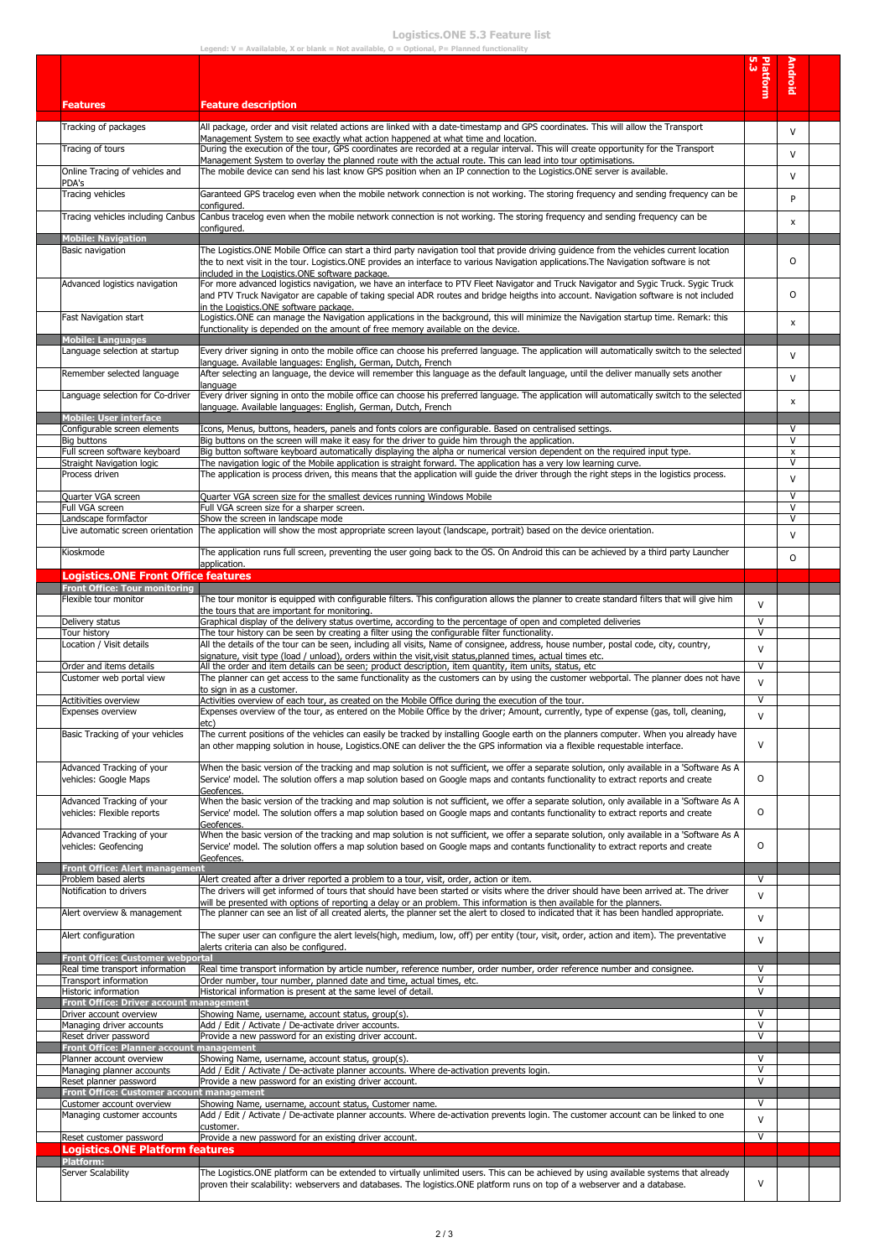## **Logistics.ONE 5.3 Feature list**

|                                                                      | Legend: $V =$ Availalable, X or blank = Not available, $O =$ Optional, P= Planned functionality                                                                                                                                                                                  |                  |                   |  |
|----------------------------------------------------------------------|----------------------------------------------------------------------------------------------------------------------------------------------------------------------------------------------------------------------------------------------------------------------------------|------------------|-------------------|--|
|                                                                      |                                                                                                                                                                                                                                                                                  |                  |                   |  |
|                                                                      |                                                                                                                                                                                                                                                                                  | <b>Platform</b>  | Android           |  |
|                                                                      |                                                                                                                                                                                                                                                                                  |                  |                   |  |
| <b>Features</b>                                                      | <b>Feature description</b>                                                                                                                                                                                                                                                       |                  |                   |  |
| Tracking of packages                                                 | All package, order and visit related actions are linked with a date-timestamp and GPS coordinates. This will allow the Transport                                                                                                                                                 |                  |                   |  |
|                                                                      | Management System to see exactly what action happened at what time and location.                                                                                                                                                                                                 |                  | $\mathsf{V}$      |  |
| Tracing of tours                                                     | During the execution of the tour, GPS coordinates are recorded at a regular interval. This will create opportunity for the Transport                                                                                                                                             |                  | $\mathsf{V}$      |  |
|                                                                      | Management System to overlay the planned route with the actual route. This can lead into tour optimisations.                                                                                                                                                                     |                  |                   |  |
| Online Tracing of vehicles and                                       | The mobile device can send his last know GPS position when an IP connection to the Logistics.ONE server is available.                                                                                                                                                            |                  | $\mathsf{V}$      |  |
| PDA's<br>Tracing vehicles                                            | Garanteed GPS tracelog even when the mobile network connection is not working. The storing frequency and sending frequency can be                                                                                                                                                |                  |                   |  |
|                                                                      | configured.                                                                                                                                                                                                                                                                      |                  | P                 |  |
| Tracing vehicles including Canbus                                    | Canbus tracelog even when the mobile network connection is not working. The storing frequency and sending frequency can be                                                                                                                                                       |                  |                   |  |
|                                                                      | configured.                                                                                                                                                                                                                                                                      |                  | x                 |  |
| <b>Mobile: Navigation</b>                                            |                                                                                                                                                                                                                                                                                  |                  |                   |  |
| Basic navigation                                                     | The Logistics.ONE Mobile Office can start a third party navigation tool that provide driving guidence from the vehicles current location<br>the to next visit in the tour. Logistics.ONE provides an interface to various Navigation applications.The Navigation software is not |                  | 0                 |  |
|                                                                      | included in the Logistics.ONE software package.                                                                                                                                                                                                                                  |                  |                   |  |
| Advanced logistics navigation                                        | For more advanced logistics navigation, we have an interface to PTV Fleet Navigator and Truck Navigator and Sygic Truck. Sygic Truck                                                                                                                                             |                  |                   |  |
|                                                                      | and PTV Truck Navigator are capable of taking special ADR routes and bridge heigths into account. Navigation software is not included                                                                                                                                            |                  | 0                 |  |
|                                                                      | in the Logistics.ONE software package.                                                                                                                                                                                                                                           |                  |                   |  |
| Fast Navigation start                                                | Logistics.ONE can manage the Navigation applications in the background, this will minimize the Navigation startup time. Remark: this                                                                                                                                             |                  | x                 |  |
| <b>Mobile: Languages</b>                                             | functionality is depended on the amount of free memory available on the device.                                                                                                                                                                                                  |                  |                   |  |
| Language selection at startup                                        | Every driver signing in onto the mobile office can choose his preferred language. The application will automatically switch to the selected                                                                                                                                      |                  |                   |  |
|                                                                      | language. Available languages: English, German, Dutch, French                                                                                                                                                                                                                    |                  | $\mathsf{V}$      |  |
| Remember selected language                                           | After selecting an language, the device will remember this language as the default language, until the deliver manually sets another                                                                                                                                             |                  | $\mathsf{V}$      |  |
| Language selection for Co-driver                                     | language                                                                                                                                                                                                                                                                         |                  |                   |  |
|                                                                      | Every driver signing in onto the mobile office can choose his preferred language. The application will automatically switch to the selected<br>language. Available languages: English, German, Dutch, French                                                                     |                  | x                 |  |
| <b>Mobile: User interface</b>                                        |                                                                                                                                                                                                                                                                                  |                  |                   |  |
| Configurable screen elements                                         | Icons, Menus, buttons, headers, panels and fonts colors are configurable. Based on centralised settings.                                                                                                                                                                         |                  | V                 |  |
| Big buttons                                                          | Big buttons on the screen will make it easy for the driver to quide him through the application.                                                                                                                                                                                 |                  | V                 |  |
| Full screen software keyboard                                        | Big button software keyboard automatically displaying the alpha or numerical version dependent on the required input type.                                                                                                                                                       |                  | x<br>$\mathsf{V}$ |  |
| Straight Navigation logic<br>Process driven                          | The navigation logic of the Mobile application is straight forward. The application has a very low learning curve.<br>The application is process driven, this means that the application will guide the driver through the right steps in the logistics process.                 |                  |                   |  |
|                                                                      |                                                                                                                                                                                                                                                                                  |                  | $\mathsf{V}$      |  |
| Quarter VGA screen                                                   | Quarter VGA screen size for the smallest devices running Windows Mobile                                                                                                                                                                                                          |                  | $\mathsf{V}$      |  |
| Full VGA screen                                                      | Full VGA screen size for a sharper screen.                                                                                                                                                                                                                                       |                  | $\vee$            |  |
| Landscape formfactor                                                 | Show the screen in landscape mode                                                                                                                                                                                                                                                |                  | V                 |  |
| Live automatic screen orientation                                    | The application will show the most appropriate screen layout (landscape, portrait) based on the device orientation.                                                                                                                                                              |                  | $\mathsf{V}$      |  |
| Kioskmode                                                            | The application runs full screen, preventing the user going back to the OS. On Android this can be achieved by a third party Launcher                                                                                                                                            |                  | $\circ$           |  |
|                                                                      | application.                                                                                                                                                                                                                                                                     |                  |                   |  |
| <b>Logistics.ONE Front Office features</b>                           |                                                                                                                                                                                                                                                                                  |                  |                   |  |
| <b>Front Office: Tour monitoring</b>                                 |                                                                                                                                                                                                                                                                                  |                  |                   |  |
| Flexible tour monitor                                                | The tour monitor is equipped with configurable filters. This configuration allows the planner to create standard filters that will give him<br>the tours that are important for monitoring.                                                                                      | $\mathsf{V}$     |                   |  |
| Delivery status                                                      | Graphical display of the delivery status overtime, according to the percentage of open and completed deliveries                                                                                                                                                                  | $\mathsf{V}$     |                   |  |
| Tour history                                                         | The tour history can be seen by creating a filter using the configurable filter functionality.                                                                                                                                                                                   | $\vee$           |                   |  |
| Location / Visit details                                             | All the details of the tour can be seen, including all visits, Name of consignee, address, house number, postal code, city, country,                                                                                                                                             | $\mathsf{V}$     |                   |  |
|                                                                      | signature, visit type (load / unload), orders within the visit, visit status, planned times, actual times etc.                                                                                                                                                                   | V                |                   |  |
| Order and items details<br>Customer web portal view                  | All the order and item details can be seen; product description, item quantity, item units, status, etc<br>The planner can get access to the same functionality as the customers can by using the customer webportal. The planner does not have                                  |                  |                   |  |
|                                                                      | to sign in as a customer.                                                                                                                                                                                                                                                        | $\vee$           |                   |  |
| Actitivities overview                                                | Activities overview of each tour, as created on the Mobile Office during the execution of the tour.                                                                                                                                                                              | $\vee$           |                   |  |
| <b>Expenses overview</b>                                             | Expenses overview of the tour, as entered on the Mobile Office by the driver; Amount, currently, type of expense (gas, toll, cleaning,                                                                                                                                           | V                |                   |  |
| Basic Tracking of your vehicles                                      | etc)<br>The current positions of the vehicles can easily be tracked by installing Google earth on the planners computer. When you already have                                                                                                                                   |                  |                   |  |
|                                                                      | an other mapping solution in house, Logistics.ONE can deliver the the GPS information via a flexible requestable interface.                                                                                                                                                      | $\vee$           |                   |  |
|                                                                      |                                                                                                                                                                                                                                                                                  |                  |                   |  |
| Advanced Tracking of your                                            | When the basic version of the tracking and map solution is not sufficient, we offer a separate solution, only available in a 'Software As A                                                                                                                                      |                  |                   |  |
| vehicles: Google Maps                                                | Service' model. The solution offers a map solution based on Google maps and contants functionality to extract reports and create                                                                                                                                                 | 0                |                   |  |
| Advanced Tracking of your                                            | Geofences.<br>When the basic version of the tracking and map solution is not sufficient, we offer a separate solution, only available in a 'Software As A                                                                                                                        |                  |                   |  |
| vehicles: Flexible reports                                           | Service' model. The solution offers a map solution based on Google maps and contants functionality to extract reports and create                                                                                                                                                 | $\circ$          |                   |  |
|                                                                      | Geofences.                                                                                                                                                                                                                                                                       |                  |                   |  |
| Advanced Tracking of your                                            | When the basic version of the tracking and map solution is not sufficient, we offer a separate solution, only available in a 'Software As A                                                                                                                                      |                  |                   |  |
| vehicles: Geofencing                                                 | Service' model. The solution offers a map solution based on Google maps and contants functionality to extract reports and create                                                                                                                                                 | 0                |                   |  |
| <b>Front Office: Alert management</b>                                | Geofences.                                                                                                                                                                                                                                                                       |                  |                   |  |
| Problem based alerts                                                 | Alert created after a driver reported a problem to a tour, visit, order, action or item.                                                                                                                                                                                         | $\vee$           |                   |  |
| Notification to drivers                                              | The drivers will get informed of tours that should have been started or visits where the driver should have been arrived at. The driver                                                                                                                                          | $\vee$           |                   |  |
|                                                                      | will be presented with options of reporting a delay or an problem. This information is then available for the planners.                                                                                                                                                          |                  |                   |  |
| Alert overview & management                                          | The planner can see an list of all created alerts, the planner set the alert to closed to indicated that it has been handled appropriate.                                                                                                                                        | $\vee$           |                   |  |
| Alert configuration                                                  | The super user can configure the alert levels(high, medium, low, off) per entity (tour, visit, order, action and item). The preventative                                                                                                                                         |                  |                   |  |
|                                                                      | alerts criteria can also be configured.                                                                                                                                                                                                                                          | $\mathsf{V}$     |                   |  |
| <b>Front Office: Customer webportal</b>                              |                                                                                                                                                                                                                                                                                  |                  |                   |  |
| Real time transport information                                      | Real time transport information by article number, reference number, order number, order reference number and consignee.                                                                                                                                                         | $\vee$           |                   |  |
| Transport information<br>Historic information                        | Order number, tour number, planned date and time, actual times, etc.<br>Historical information is present at the same level of detail.                                                                                                                                           | $\vee$<br>$\vee$ |                   |  |
| <b>Front Office: Driver account management</b>                       |                                                                                                                                                                                                                                                                                  |                  |                   |  |
| Driver account overview                                              | Showing Name, username, account status, group(s).                                                                                                                                                                                                                                | $\vee$           |                   |  |
| Managing driver accounts                                             | Add / Edit / Activate / De-activate driver accounts.                                                                                                                                                                                                                             | $\vee$           |                   |  |
| Reset driver password                                                | Provide a new password for an existing driver account.                                                                                                                                                                                                                           | $\vee$           |                   |  |
| Front Office: Planner account management<br>Planner account overview | Showing Name, username, account status, group(s).                                                                                                                                                                                                                                | $\vee$           |                   |  |
| Managing planner accounts                                            | Add / Edit / Activate / De-activate planner accounts. Where de-activation prevents login.                                                                                                                                                                                        | $\vee$           |                   |  |
| Reset planner password                                               | Provide a new password for an existing driver account.                                                                                                                                                                                                                           | $\vee$           |                   |  |
| <b>Front Office: Customer account management</b>                     |                                                                                                                                                                                                                                                                                  |                  |                   |  |
| Customer account overview                                            | Showing Name, username, account status, Customer name.                                                                                                                                                                                                                           | $\vee$           |                   |  |
| Managing customer accounts                                           | Add / Edit / Activate / De-activate planner accounts. Where de-activation prevents login. The customer account can be linked to one<br>customer.                                                                                                                                 | $\vee$           |                   |  |
| Reset customer password                                              | Provide a new password for an existing driver account.                                                                                                                                                                                                                           | $\vee$           |                   |  |
| <b>Logistics.ONE Platform features</b>                               |                                                                                                                                                                                                                                                                                  |                  |                   |  |
| Platform:                                                            |                                                                                                                                                                                                                                                                                  |                  |                   |  |
| Server Scalability                                                   | The Logistics.ONE platform can be extended to virtually unlimited users. This can be achieved by using available systems that already                                                                                                                                            |                  |                   |  |
|                                                                      | proven their scalability: webservers and databases. The logistics.ONE platform runs on top of a webserver and a database.                                                                                                                                                        | $\vee$           |                   |  |
|                                                                      |                                                                                                                                                                                                                                                                                  |                  |                   |  |